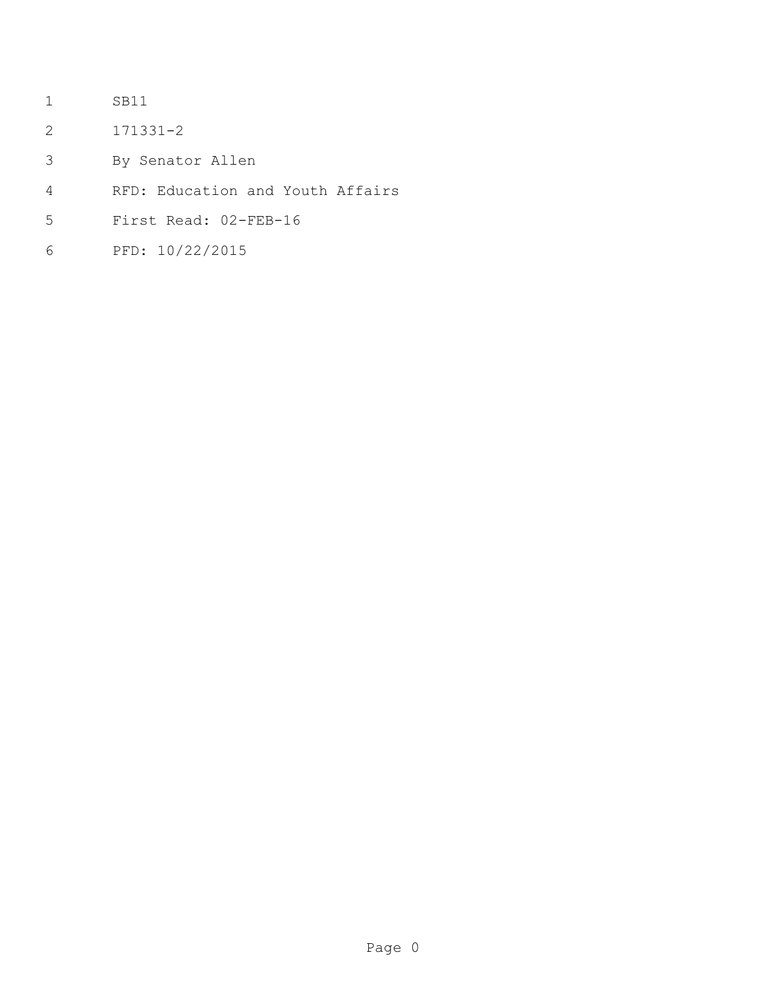- SB11
- 171331-2
- By Senator Allen
- RFD: Education and Youth Affairs
- First Read: 02-FEB-16
- PFD: 10/22/2015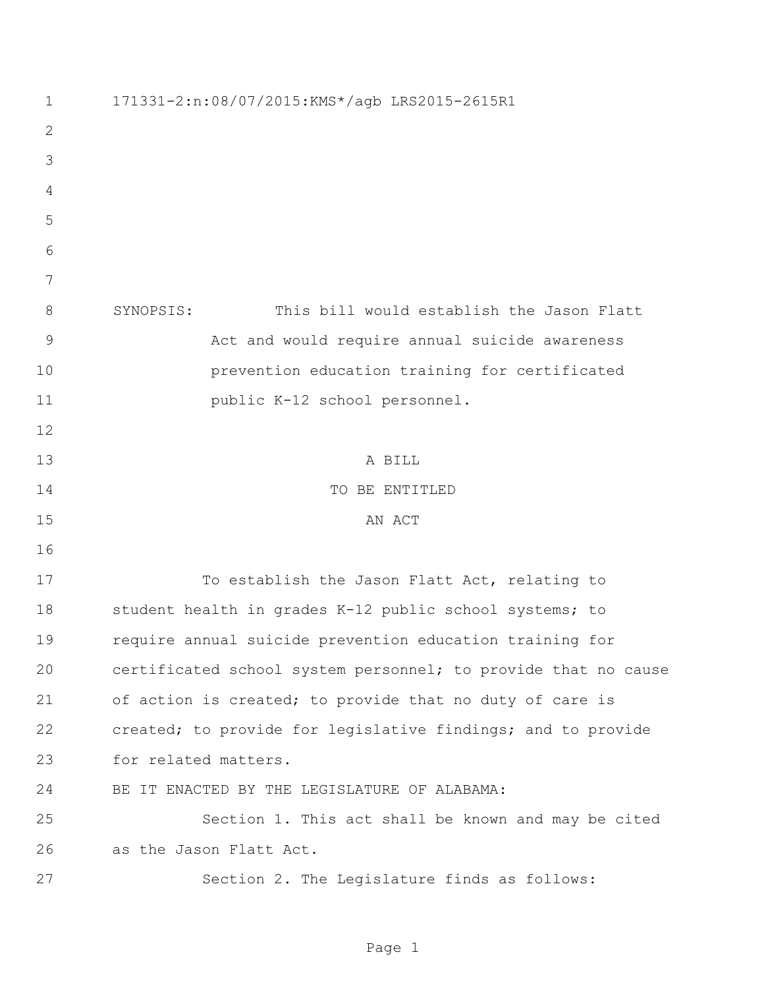| $\mathbf 1$ | 171331-2:n:08/07/2015:KMS*/agb LRS2015-2615R1                  |
|-------------|----------------------------------------------------------------|
| 2           |                                                                |
| 3           |                                                                |
| 4           |                                                                |
| 5           |                                                                |
| 6           |                                                                |
| 7           |                                                                |
| 8           | This bill would establish the Jason Flatt<br>SYNOPSIS:         |
| $\mathsf 9$ | Act and would require annual suicide awareness                 |
| 10          | prevention education training for certificated                 |
| 11          | public K-12 school personnel.                                  |
| 12          |                                                                |
| 13          | A BILL                                                         |
| 14          | TO BE ENTITLED                                                 |
| 15          | AN ACT                                                         |
| 16          |                                                                |
| 17          | To establish the Jason Flatt Act, relating to                  |
| 18          | student health in grades K-12 public school systems; to        |
| 19          | require annual suicide prevention education training for       |
| 20          | certificated school system personnel; to provide that no cause |
| 21          | of action is created; to provide that no duty of care is       |
| 22          | created; to provide for legislative findings; and to provide   |
| 23          | for related matters.                                           |
| 24          | BE IT ENACTED BY THE LEGISLATURE OF ALABAMA:                   |
| 25          | Section 1. This act shall be known and may be cited            |
| 26          | as the Jason Flatt Act.                                        |
| 27          | Section 2. The Legislature finds as follows:                   |

Page 1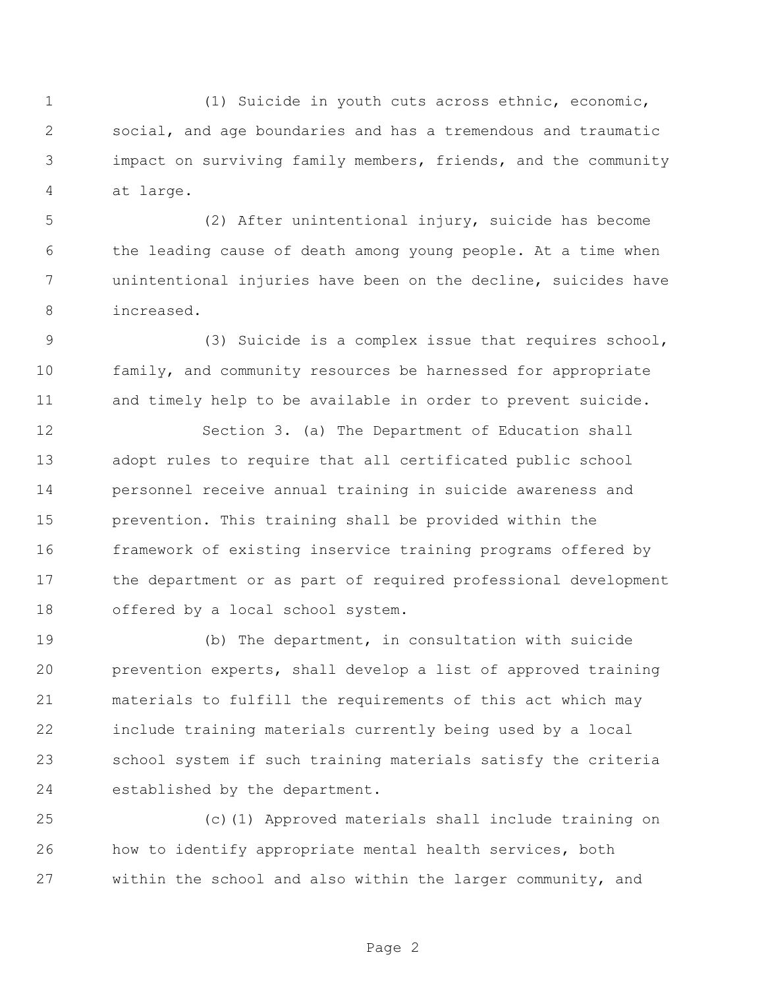(1) Suicide in youth cuts across ethnic, economic, social, and age boundaries and has a tremendous and traumatic impact on surviving family members, friends, and the community at large.

 (2) After unintentional injury, suicide has become the leading cause of death among young people. At a time when unintentional injuries have been on the decline, suicides have increased.

 (3) Suicide is a complex issue that requires school, family, and community resources be harnessed for appropriate and timely help to be available in order to prevent suicide.

 Section 3. (a) The Department of Education shall adopt rules to require that all certificated public school personnel receive annual training in suicide awareness and prevention. This training shall be provided within the framework of existing inservice training programs offered by the department or as part of required professional development offered by a local school system.

 (b) The department, in consultation with suicide prevention experts, shall develop a list of approved training materials to fulfill the requirements of this act which may include training materials currently being used by a local school system if such training materials satisfy the criteria established by the department.

 (c)(1) Approved materials shall include training on how to identify appropriate mental health services, both within the school and also within the larger community, and

Page 2